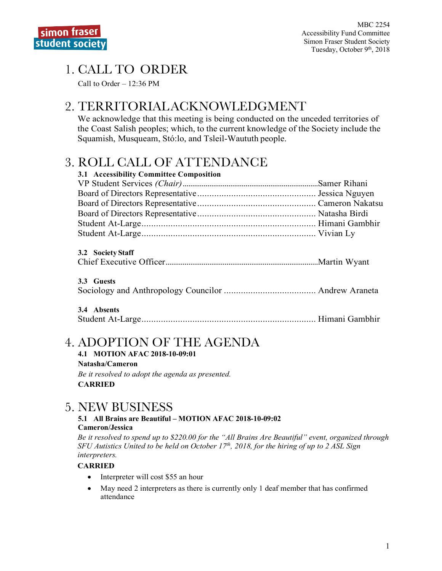# 1. CALL TO ORDER

Call to Order – 12:36 PM

# 2. TERRITORIALACKNOWLEDGMENT

We acknowledge that this meeting is being conducted on the unceded territories of the Coast Salish peoples; which, to the current knowledge of the Society include the Squamish, Musqueam, Stó:lo, and Tsleil-Waututh people.

# 3. ROLL CALL OF ATTENDANCE

| 3.1 Accessibility Committee Composition |  |
|-----------------------------------------|--|
|                                         |  |
|                                         |  |
|                                         |  |
|                                         |  |
|                                         |  |
|                                         |  |
|                                         |  |

| 3.2 Society Staff |  |
|-------------------|--|
|                   |  |

### **3.3 Guests**

Sociology and Anthropology Councilor ...................................... Andrew Araneta

**3.4 Absents** Student At-Large........................................................................ Himani Gambhir

# 4. ADOPTION OF THE AGENDA

**4.1 MOTION AFAC 2018-10-09:01 Natasha/Cameron** *Be it resolved to adopt the agenda as presented.* **CARRIED**

## 5. NEW BUSINESS

#### **5.1 All Brains are Beautiful – MOTION AFAC 2018-10-09:02 Cameron/Jessica**

*Be it resolved to spend up to \$220.00 for the "All Brains Are Beautiful" event, organized through SFU Autistics United to be held on October 17th, 2018, for the hiring of up to 2 ASL Sign interpreters.* 

### **CARRIED**

- Interpreter will cost \$55 an hour
- May need 2 interpreters as there is currently only 1 deaf member that has confirmed attendance